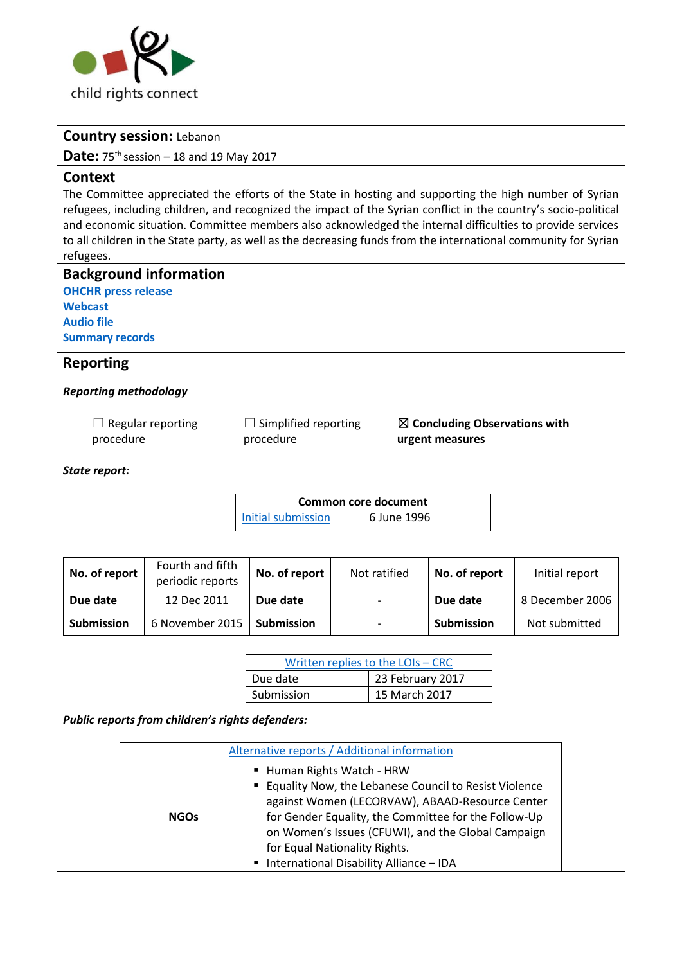

### **Country session:** Lebanon

**Date:** 75 th session – 18 and 19 May 2017

#### **Context**

The Committee appreciated the efforts of the State in hosting and supporting the high number of Syrian refugees, including children, and recognized the impact of the Syrian conflict in the country's socio-political and economic situation. Committee members also acknowledged the internal difficulties to provide services to all children in the State party, as well as the decreasing funds from the international community for Syrian refugees.

| <b>OHCHR press release</b><br>Webcast<br><b>Audio file</b><br><b>Summary records</b> | <b>Background information</b>        |                                   |              |                                                             |               |  |                 |
|--------------------------------------------------------------------------------------|--------------------------------------|-----------------------------------|--------------|-------------------------------------------------------------|---------------|--|-----------------|
| <b>Reporting</b>                                                                     |                                      |                                   |              |                                                             |               |  |                 |
| <b>Reporting methodology</b>                                                         |                                      |                                   |              |                                                             |               |  |                 |
| Regular reporting<br>procedure                                                       |                                      | Simplified reporting<br>procedure |              | $\boxtimes$ Concluding Observations with<br>urgent measures |               |  |                 |
| State report:                                                                        |                                      |                                   |              |                                                             |               |  |                 |
| <b>Common core document</b>                                                          |                                      |                                   |              |                                                             |               |  |                 |
|                                                                                      |                                      | <b>Initial submission</b>         |              | 6 June 1996                                                 |               |  |                 |
|                                                                                      |                                      |                                   |              |                                                             |               |  |                 |
| No. of report                                                                        | Fourth and fifth<br>periodic reports | No. of report                     | Not ratified |                                                             | No. of report |  | Initial report  |
| Due date                                                                             | 12 Dec 2011                          | Due date                          |              |                                                             | Due date      |  | 8 December 2006 |
| <b>Submission</b>                                                                    | 6 November 2015                      | <b>Submission</b>                 |              |                                                             | Submission    |  | Not submitted   |

| Written replies to the LOIs - CRC |                  |  |  |  |  |
|-----------------------------------|------------------|--|--|--|--|
| Due date                          | 23 February 2017 |  |  |  |  |
| Submission                        | 15 March 2017    |  |  |  |  |

*Public reports from children's rights defenders:*

|             | Alternative reports / Additional information                                                                                                                                                                                                                                                                                       |  |  |  |
|-------------|------------------------------------------------------------------------------------------------------------------------------------------------------------------------------------------------------------------------------------------------------------------------------------------------------------------------------------|--|--|--|
| <b>NGOs</b> | ■ Human Rights Watch - HRW<br>" Equality Now, the Lebanese Council to Resist Violence<br>against Women (LECORVAW), ABAAD-Resource Center<br>for Gender Equality, the Committee for the Follow-Up<br>on Women's Issues (CFUWI), and the Global Campaign<br>for Equal Nationality Rights.<br>International Disability Alliance - IDA |  |  |  |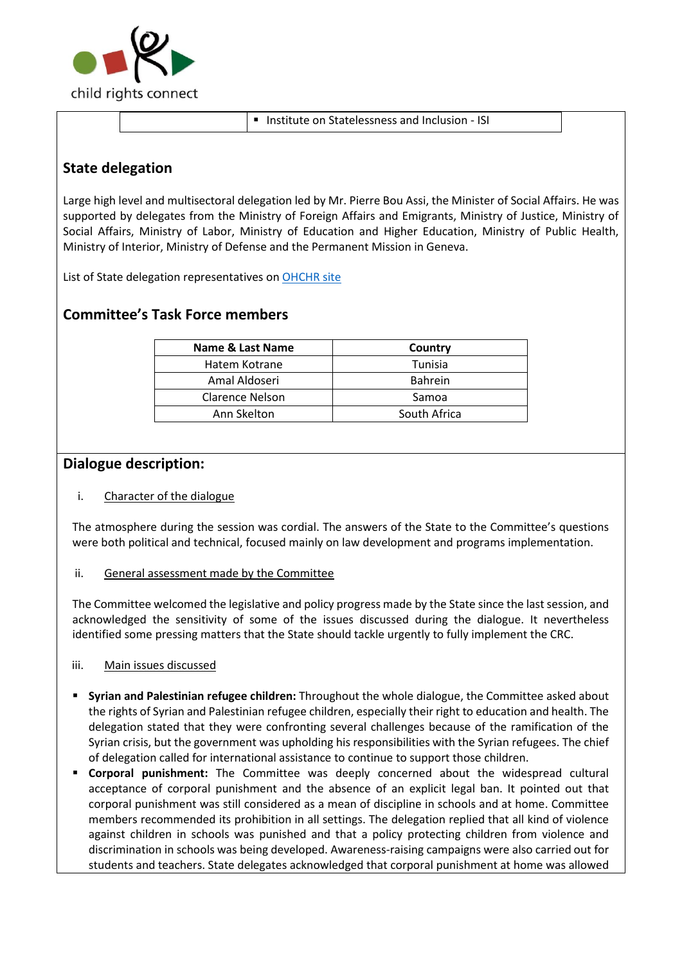

■ Institute on Statelessness and Inclusion - ISI

## **State delegation**

Large high level and multisectoral delegation led by Mr. Pierre Bou Assi, the Minister of Social Affairs. He was supported by delegates from the Ministry of Foreign Affairs and Emigrants, Ministry of Justice, Ministry of Social Affairs, Ministry of Labor, Ministry of Education and Higher Education, Ministry of Public Health, Ministry of Interior, Ministry of Defense and the Permanent Mission in Geneva.

List of State delegation representatives on [OHCHR site](http://tbinternet.ohchr.org/Treaties/CRC/Shared%20Documents/LBN/INT_CRC_LOP_LBN_27436_E.pdf) 

# **Committee's Task Force members**

| <b>Name &amp; Last Name</b> | Country        |
|-----------------------------|----------------|
| Hatem Kotrane               | Tunisia        |
| Amal Aldoseri               | <b>Bahrein</b> |
| Clarence Nelson             | Samoa          |
| Ann Skelton                 | South Africa   |

### **Dialogue description:**

#### i. Character of the dialogue

The atmosphere during the session was cordial. The answers of the State to the Committee's questions were both political and technical, focused mainly on law development and programs implementation.

#### ii. General assessment made by the Committee

The Committee welcomed the legislative and policy progress made by the State since the last session, and acknowledged the sensitivity of some of the issues discussed during the dialogue. It nevertheless identified some pressing matters that the State should tackle urgently to fully implement the CRC.

#### iii. Main issues discussed

- **Syrian and Palestinian refugee children:** Throughout the whole dialogue, the Committee asked about the rights of Syrian and Palestinian refugee children, especially their right to education and health. The delegation stated that they were confronting several challenges because of the ramification of the Syrian crisis, but the government was upholding his responsibilities with the Syrian refugees. The chief of delegation called for international assistance to continue to support those children.
- **Corporal punishment:** The Committee was deeply concerned about the widespread cultural acceptance of corporal punishment and the absence of an explicit legal ban. It pointed out that corporal punishment was still considered as a mean of discipline in schools and at home. Committee members recommended its prohibition in all settings. The delegation replied that all kind of violence against children in schools was punished and that a policy protecting children from violence and discrimination in schools was being developed. Awareness-raising campaigns were also carried out for students and teachers. State delegates acknowledged that corporal punishment at home was allowed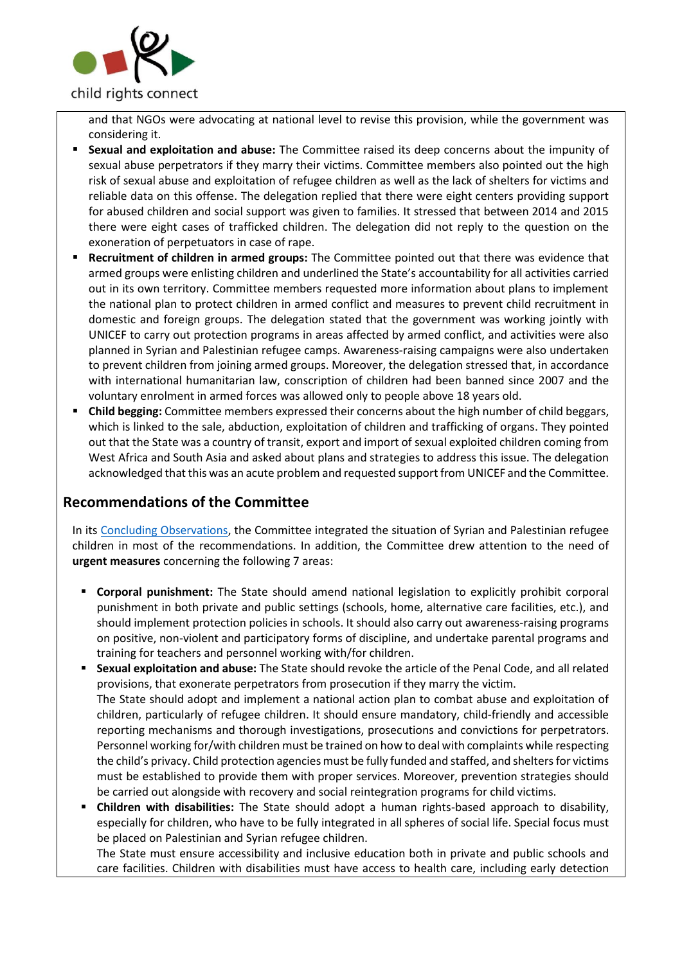

and that NGOs were advocating at national level to revise this provision, while the government was considering it.

- **Sexual and exploitation and abuse:** The Committee raised its deep concerns about the impunity of sexual abuse perpetrators if they marry their victims. Committee members also pointed out the high risk of sexual abuse and exploitation of refugee children as well as the lack of shelters for victims and reliable data on this offense. The delegation replied that there were eight centers providing support for abused children and social support was given to families. It stressed that between 2014 and 2015 there were eight cases of trafficked children. The delegation did not reply to the question on the exoneration of perpetuators in case of rape.
- **Recruitment of children in armed groups:** The Committee pointed out that there was evidence that armed groups were enlisting children and underlined the State's accountability for all activities carried out in its own territory. Committee members requested more information about plans to implement the national plan to protect children in armed conflict and measures to prevent child recruitment in domestic and foreign groups. The delegation stated that the government was working jointly with UNICEF to carry out protection programs in areas affected by armed conflict, and activities were also planned in Syrian and Palestinian refugee camps. Awareness-raising campaigns were also undertaken to prevent children from joining armed groups. Moreover, the delegation stressed that, in accordance with international humanitarian law, conscription of children had been banned since 2007 and the voluntary enrolment in armed forces was allowed only to people above 18 years old.
- **Child begging:** Committee members expressed their concerns about the high number of child beggars, which is linked to the sale, abduction, exploitation of children and trafficking of organs. They pointed out that the State was a country of transit, export and import of sexual exploited children coming from West Africa and South Asia and asked about plans and strategies to address this issue. The delegation acknowledged that this was an acute problem and requested support from UNICEF and the Committee.

## **Recommendations of the Committee**

In its [Concluding Observations,](http://tbinternet.ohchr.org/_layouts/treatybodyexternal/Download.aspx?symbolno=CRC%2fC%2fLBN%2fCO%2f4-5&Lang=en) the Committee integrated the situation of Syrian and Palestinian refugee children in most of the recommendations. In addition, the Committee drew attention to the need of **urgent measures** concerning the following 7 areas:

- **Corporal punishment:** The State should amend national legislation to explicitly prohibit corporal punishment in both private and public settings (schools, home, alternative care facilities, etc.), and should implement protection policies in schools. It should also carry out awareness-raising programs on positive, non-violent and participatory forms of discipline, and undertake parental programs and training for teachers and personnel working with/for children.
- **Sexual exploitation and abuse:** The State should revoke the article of the Penal Code, and all related provisions, that exonerate perpetrators from prosecution if they marry the victim. The State should adopt and implement a national action plan to combat abuse and exploitation of children, particularly of refugee children. It should ensure mandatory, child-friendly and accessible reporting mechanisms and thorough investigations, prosecutions and convictions for perpetrators. Personnel working for/with children must be trained on how to deal with complaints while respecting the child's privacy. Child protection agencies must be fully funded and staffed, and shelters for victims must be established to provide them with proper services. Moreover, prevention strategies should be carried out alongside with recovery and social reintegration programs for child victims.
- **Children with disabilities:** The State should adopt a human rights-based approach to disability, especially for children, who have to be fully integrated in all spheres of social life. Special focus must be placed on Palestinian and Syrian refugee children.

The State must ensure accessibility and inclusive education both in private and public schools and care facilities. Children with disabilities must have access to health care, including early detection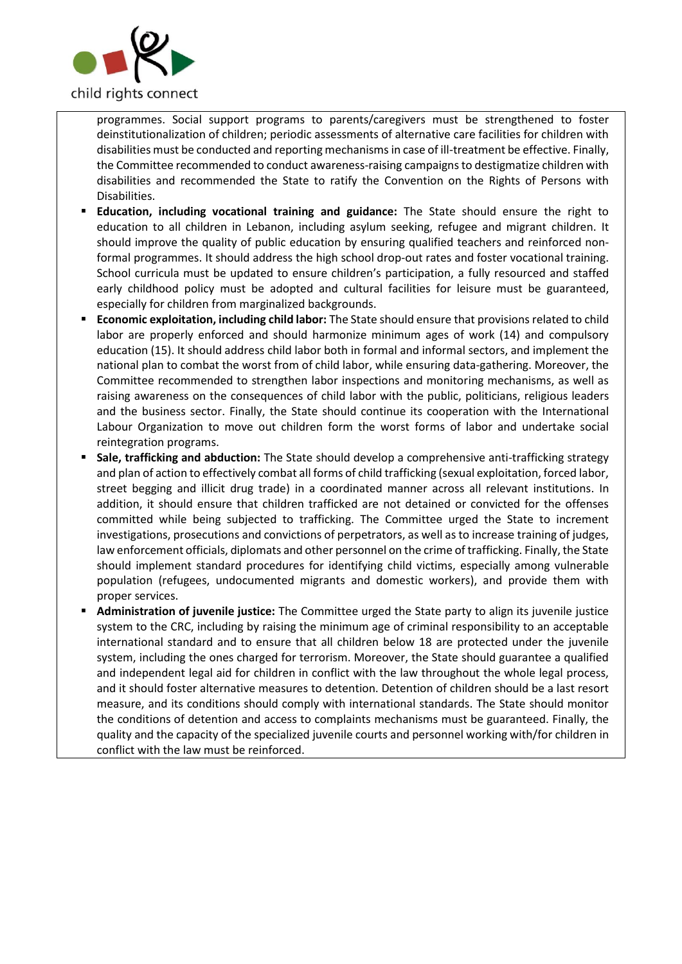

programmes. Social support programs to parents/caregivers must be strengthened to foster deinstitutionalization of children; periodic assessments of alternative care facilities for children with disabilities must be conducted and reporting mechanisms in case of ill-treatment be effective. Finally, the Committee recommended to conduct awareness-raising campaignsto destigmatize children with disabilities and recommended the State to ratify the Convention on the Rights of Persons with Disabilities.

- **Education, including vocational training and guidance:** The State should ensure the right to education to all children in Lebanon, including asylum seeking, refugee and migrant children. It should improve the quality of public education by ensuring qualified teachers and reinforced nonformal programmes. It should address the high school drop-out rates and foster vocational training. School curricula must be updated to ensure children's participation, a fully resourced and staffed early childhood policy must be adopted and cultural facilities for leisure must be guaranteed, especially for children from marginalized backgrounds.
- **Economic exploitation, including child labor:** The State should ensure that provisions related to child labor are properly enforced and should harmonize minimum ages of work (14) and compulsory education (15). It should address child labor both in formal and informal sectors, and implement the national plan to combat the worst from of child labor, while ensuring data-gathering. Moreover, the Committee recommended to strengthen labor inspections and monitoring mechanisms, as well as raising awareness on the consequences of child labor with the public, politicians, religious leaders and the business sector. Finally, the State should continue its cooperation with the International Labour Organization to move out children form the worst forms of labor and undertake social reintegration programs.
- **Sale, trafficking and abduction:** The State should develop a comprehensive anti-trafficking strategy and plan of action to effectively combat all forms of child trafficking (sexual exploitation, forced labor, street begging and illicit drug trade) in a coordinated manner across all relevant institutions. In addition, it should ensure that children trafficked are not detained or convicted for the offenses committed while being subjected to trafficking. The Committee urged the State to increment investigations, prosecutions and convictions of perpetrators, as well as to increase training of judges, law enforcement officials, diplomats and other personnel on the crime of trafficking. Finally, the State should implement standard procedures for identifying child victims, especially among vulnerable population (refugees, undocumented migrants and domestic workers), and provide them with proper services.
- Administration of juvenile justice: The Committee urged the State party to align its juvenile justice system to the CRC, including by raising the minimum age of criminal responsibility to an acceptable international standard and to ensure that all children below 18 are protected under the juvenile system, including the ones charged for terrorism. Moreover, the State should guarantee a qualified and independent legal aid for children in conflict with the law throughout the whole legal process, and it should foster alternative measures to detention. Detention of children should be a last resort measure, and its conditions should comply with international standards. The State should monitor the conditions of detention and access to complaints mechanisms must be guaranteed. Finally, the quality and the capacity of the specialized juvenile courts and personnel working with/for children in conflict with the law must be reinforced.